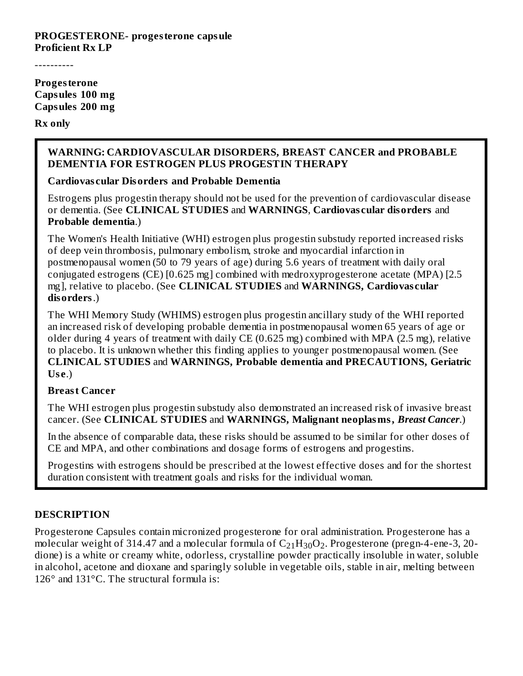#### **PROGESTERONE- progesterone capsule Proficient Rx LP**

----------

**Progesterone Capsules 100 mg Capsules 200 mg**

#### **Rx only**

#### **WARNING: CARDIOVASCULAR DISORDERS, BREAST CANCER and PROBABLE DEMENTIA FOR ESTROGEN PLUS PROGESTIN THERAPY**

#### **Cardiovas cular Disorders and Probable Dementia**

Estrogens plus progestin therapy should not be used for the prevention of cardiovascular disease or dementia. (See **CLINICAL STUDIES** and **WARNINGS**, **Cardiovas cular disorders** and **Probable dementia**.)

The Women's Health Initiative (WHI) estrogen plus progestin substudy reported increased risks of deep vein thrombosis, pulmonary embolism, stroke and myocardial infarction in postmenopausal women (50 to 79 years of age) during 5.6 years of treatment with daily oral conjugated estrogens (CE) [0.625 mg] combined with medroxyprogesterone acetate (MPA) [2.5 mg], relative to placebo. (See **CLINICAL STUDIES** and **WARNINGS, Cardiovas cular disorders**.)

The WHI Memory Study (WHIMS) estrogen plus progestin ancillary study of the WHI reported an increased risk of developing probable dementia in postmenopausal women 65 years of age or older during 4 years of treatment with daily CE (0.625 mg) combined with MPA (2.5 mg), relative to placebo. It is unknown whether this finding applies to younger postmenopausal women. (See **CLINICAL STUDIES** and **WARNINGS, Probable dementia and PRECAUTIONS, Geriatric Us e**.)

#### **Breast Cancer**

The WHI estrogen plus progestin substudy also demonstrated an increased risk of invasive breast cancer. (See **CLINICAL STUDIES** and **WARNINGS, Malignant neoplasms,** *Breast Cancer*.)

In the absence of comparable data, these risks should be assumed to be similar for other doses of CE and MPA, and other combinations and dosage forms of estrogens and progestins.

Progestins with estrogens should be prescribed at the lowest effective doses and for the shortest duration consistent with treatment goals and risks for the individual woman.

#### **DESCRIPTION**

Progesterone Capsules contain micronized progesterone for oral administration. Progesterone has a molecular weight of 314.47 and a molecular formula of  $\rm{C_{21}H_{30}O_2}$ . Progesterone (pregn-4-ene-3, 20dione) is a white or creamy white, odorless, crystalline powder practically insoluble in water, soluble in alcohol, acetone and dioxane and sparingly soluble in vegetable oils, stable in air, melting between 126° and 131°C. The structural formula is: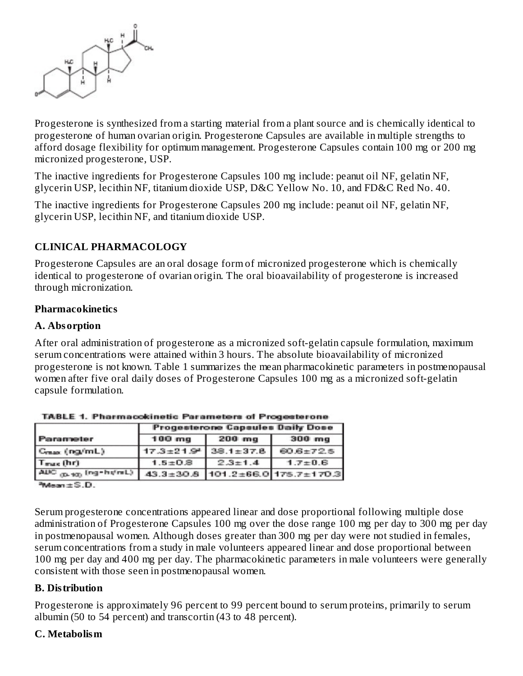

Progesterone is synthesized from a starting material from a plant source and is chemically identical to progesterone of human ovarian origin. Progesterone Capsules are available in multiple strengths to afford dosage flexibility for optimum management. Progesterone Capsules contain 100 mg or 200 mg micronized progesterone, USP.

The inactive ingredients for Progesterone Capsules 100 mg include: peanut oil NF, gelatin NF, glycerin USP, lecithin NF, titanium dioxide USP, D&C Yellow No. 10, and FD&C Red No. 40.

The inactive ingredients for Progesterone Capsules 200 mg include: peanut oil NF, gelatin NF, glycerin USP, lecithin NF, and titanium dioxide USP.

### **CLINICAL PHARMACOLOGY**

Progesterone Capsules are an oral dosage form of micronized progesterone which is chemically identical to progesterone of ovarian origin. The oral bioavailability of progesterone is increased through micronization.

#### **Pharmacokinetics**

#### **A. Absorption**

After oral administration of progesterone as a micronized soft-gelatin capsule formulation, maximum serum concentrations were attained within 3 hours. The absolute bioavailability of micronized progesterone is not known. Table 1 summarizes the mean pharmacokinetic parameters in postmenopausal women after five oral daily doses of Progesterone Capsules 100 mg as a micronized soft-gelatin capsule formulation.

|                          | <b>Progesterone Capsules Daily Dose</b> |                             |                                  |  |  |  |
|--------------------------|-----------------------------------------|-----------------------------|----------------------------------|--|--|--|
| Parameter                | $100$ mg                                | $200$ mg                    | 300 <sub>mg</sub>                |  |  |  |
| Creas (ng/mL)            |                                         | $17.3 \pm 21.9^2$ 38.1±37.8 | 60.6±72.5                        |  |  |  |
| Trus (hr)                | $1.5 \pm 0.8$                           | $2.3 + 1.4$                 | $1.7 \pm 0.6$                    |  |  |  |
| AUC (p. 10) (ng - ht/mL) |                                         |                             | 43.3±30.8 101.2±66.0 175.7±170.3 |  |  |  |

**TABLE 1. Pharmacokinetic Parameters of Progesterone** 

 $M$ ean $\pm$  S.D.

Serum progesterone concentrations appeared linear and dose proportional following multiple dose administration of Progesterone Capsules 100 mg over the dose range 100 mg per day to 300 mg per day in postmenopausal women. Although doses greater than 300 mg per day were not studied in females, serum concentrations from a study in male volunteers appeared linear and dose proportional between 100 mg per day and 400 mg per day. The pharmacokinetic parameters in male volunteers were generally consistent with those seen in postmenopausal women.

#### **B. Distribution**

Progesterone is approximately 96 percent to 99 percent bound to serum proteins, primarily to serum albumin (50 to 54 percent) and transcortin (43 to 48 percent).

#### **C. Metabolism**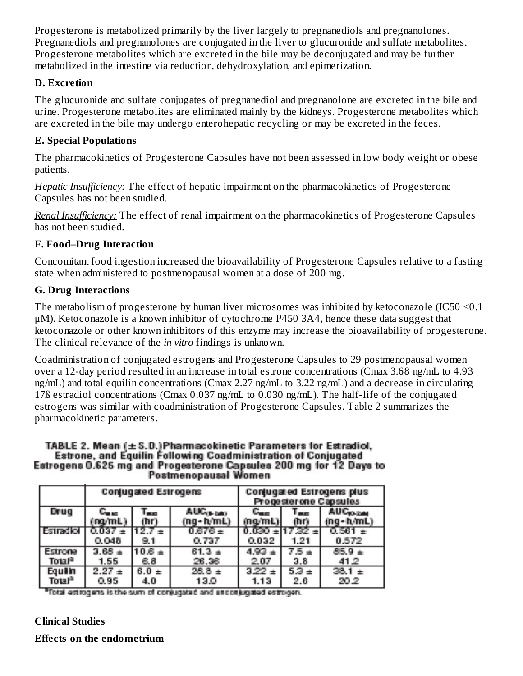Progesterone is metabolized primarily by the liver largely to pregnanediols and pregnanolones. Pregnanediols and pregnanolones are conjugated in the liver to glucuronide and sulfate metabolites. Progesterone metabolites which are excreted in the bile may be deconjugated and may be further metabolized in the intestine via reduction, dehydroxylation, and epimerization.

#### **D. Excretion**

The glucuronide and sulfate conjugates of pregnanediol and pregnanolone are excreted in the bile and urine. Progesterone metabolites are eliminated mainly by the kidneys. Progesterone metabolites which are excreted in the bile may undergo enterohepatic recycling or may be excreted in the feces.

### **E. Special Populations**

The pharmacokinetics of Progesterone Capsules have not been assessed in low body weight or obese patients.

*Hepatic Insufficiency:* The effect of hepatic impairment on the pharmacokinetics of Progesterone Capsules has not been studied.

*Renal Insufficiency:* The effect of renal impairment on the pharmacokinetics of Progesterone Capsules has not been studied.

## **F. Food–Drug Interaction**

Concomitant food ingestion increased the bioavailability of Progesterone Capsules relative to a fasting state when administered to postmenopausal women at a dose of 200 mg.

## **G. Drug Interactions**

The metabolism of progesterone by human liver microsomes was inhibited by ketoconazole (IC50 <0.1 μM). Ketoconazole is a known inhibitor of cytochrome P450 3A4, hence these data suggest that ketoconazole or other known inhibitors of this enzyme may increase the bioavailability of progesterone. The clinical relevance of the *in vitro* findings is unknown.

Coadministration of conjugated estrogens and Progesterone Capsules to 29 postmenopausal women over a 12-day period resulted in an increase in total estrone concentrations (Cmax 3.68 ng/mL to 4.93 ng/mL) and total equilin concentrations (Cmax 2.27 ng/mL to 3.22 ng/mL) and a decrease in circulating 17ß estradiol concentrations (Cmax 0.037 ng/mL to 0.030 ng/mL). The half-life of the conjugated estrogens was similar with coadministration of Progesterone Capsules. Table 2 summarizes the pharmacokinetic parameters.

#### TABLE 2. Mean (± S.D.)Pharmacokinetic Parameters for Estradiol, Estrone, and Equilin Following Coadministration of Conjugated Estrogens 0.625 mg and Progesterone Capsules 200 mg for 12 Days to **Postmenopausal Women**

|                    |                           | <b>Conjugated Estrogens</b> |                       |                           |                   | <b>Conjugated Estrogens plus</b><br>Progesterone Capsules |
|--------------------|---------------------------|-----------------------------|-----------------------|---------------------------|-------------------|-----------------------------------------------------------|
| Drug               | $\mathbb{C}_{\text{max}}$ | $L_{\rm max}$               | AUC <sub>UL DAY</sub> | $\mathbb{C}_{\text{max}}$ | <b>Figure</b>     | <b>AUCO-244</b>                                           |
|                    | na/mL)                    | (hr)                        | (ng+h/mL)             | (na/mL)                   | mn                | ing+h/mL)                                                 |
| Estradiol          | $0.037 +$<br>0.048        | f12.7<br>9.1                | $0.676 \pm$<br>0.737  | 0.032                     | $17.32 +$<br>1.21 | 0.572                                                     |
| Estrone            | $3.68 \pm$                | $10.6 \pm$                  | $61.3 +$              | 4.93                      | $7.5 \pm$         | $85.9 +$                                                  |
| Total <sup>a</sup> | 1.55                      | 6.8                         | 26.36                 | 2.07                      | 3.8               | 41.2                                                      |
| Equilin            | $2.27 +$                  | $6.0 +$                     | $28.8 +$              | $3.22 \pm$                | $5.3 \pm$         | $38.1 \pm$                                                |
| Total <sup>a</sup> | 0.95                      | 4.0                         | 13.0                  | 1.13                      | 2.6               | 20.2                                                      |

<sup>a</sup> Total estrogens is the sum of conjugated and enconjugated estrogen.

## **Clinical Studies**

**Effects on the endometrium**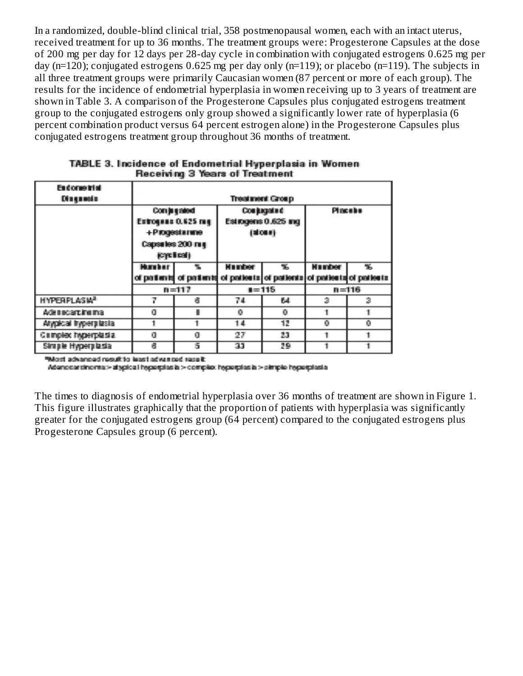In a randomized, double-blind clinical trial, 358 postmenopausal women, each with an intact uterus, received treatment for up to 36 months. The treatment groups were: Progesterone Capsules at the dose of 200 mg per day for 12 days per 28-day cycle in combination with conjugated estrogens 0.625 mg per day (n=120); conjugated estrogens 0.625 mg per day only (n=119); or placebo (n=119). The subjects in all three treatment groups were primarily Caucasian women (87 percent or more of each group). The results for the incidence of endometrial hyperplasia in women receiving up to 3 years of treatment are shown in Table 3. A comparison of the Progesterone Capsules plus conjugated estrogens treatment group to the conjugated estrogens only group showed a significantly lower rate of hyperplasia (6 percent combination product versus 64 percent estrogen alone) in the Progesterone Capsules plus conjugated estrogens treatment group throughout 36 months of treatment.

| <b>Endorse trial</b><br>Diagnosia |                                                                                      |   |                                            | <b>Treatment Group</b> |               |                                                                               |
|-----------------------------------|--------------------------------------------------------------------------------------|---|--------------------------------------------|------------------------|---------------|-------------------------------------------------------------------------------|
|                                   | Com ju g sészi<br>Extrogene 0.625 mg<br>+Progestarme<br>Capsules 200 mg<br>(optical) |   | Conjugated<br>Estrogens 0.625 mg<br>(1000) |                        | Placebe       |                                                                               |
|                                   | <b>Humber</b>                                                                        |   | <b>Humber</b>                              | ĸ.                     | <b>Humber</b> | ъ.<br>of patients of patients of patients of patients of patients of patients |
|                                   | $n = 117$                                                                            |   | $i = 115$                                  |                        | $n = 116$     |                                                                               |
| <b>HYPERPLASIA<sup>2</sup></b>    | 7                                                                                    | в | 74                                         | 64                     | э             | э                                                                             |
| Adamcarcinema                     | o                                                                                    | ٠ | ۰                                          | ٥                      |               |                                                                               |
| Atypical hyperplasta              |                                                                                      |   | 14                                         | 12                     | o             | ۰                                                                             |
| Complex hyperplasia.              | o                                                                                    | o | 27                                         | 23                     |               |                                                                               |
| Sinigle Hyperglasia               | в                                                                                    | 5 | 33                                         | 29                     |               |                                                                               |

| TABLE 3. Incidence of Endometrial Hyperplasia in Women |  |
|--------------------------------------------------------|--|
| Receiving 3 Years of Treatment                         |  |

Sated bate tavita tasal citikaan bennavbs ttek<sup>e</sup>

Adenocarcinoma:> atypica i hyperplas is > complex hyperplas is > simple hyperplasia

The times to diagnosis of endometrial hyperplasia over 36 months of treatment are shown in Figure 1. This figure illustrates graphically that the proportion of patients with hyperplasia was significantly greater for the conjugated estrogens group (64 percent) compared to the conjugated estrogens plus Progesterone Capsules group (6 percent).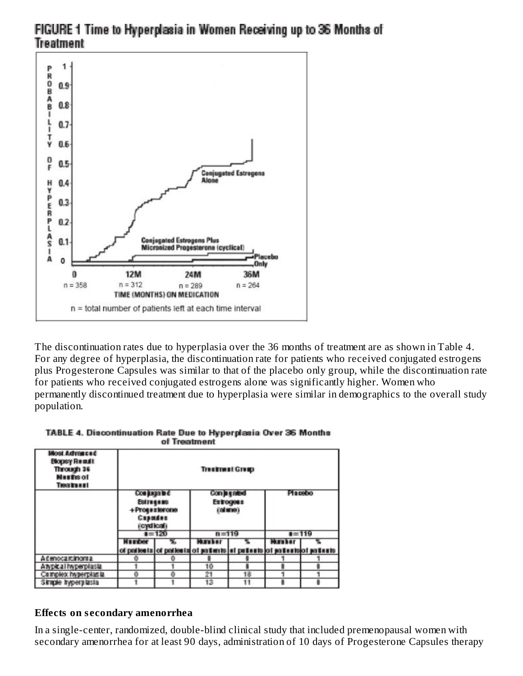

# FIGURE 1 Time to Hyperplasia in Women Receiving up to 36 Months of **Treatment**

The discontinuation rates due to hyperplasia over the 36 months of treatment are as shown in Table 4. For any degree of hyperplasia, the discontinuation rate for patients who received conjugated estrogens plus Progesterone Capsules was similar to that of the placebo only group, while the discontinuation rate for patients who received conjugated estrogens alone was significantly higher. Women who permanently discontinued treatment due to hyperplasia were similar in demographics to the overall study population.

|                                                                                             | --------                                                                         | of Treatment | ---- <i>------</i> ---------                                            |           |                |           |
|---------------------------------------------------------------------------------------------|----------------------------------------------------------------------------------|--------------|-------------------------------------------------------------------------|-----------|----------------|-----------|
| Most Advanced<br><b>Blogsy Reault</b><br>Through 36<br><b>Masths of</b><br><b>Treatment</b> | <b>Treatment Greep</b>                                                           |              |                                                                         |           |                |           |
|                                                                                             | <b>Compagnited</b><br><b>Estrogans</b><br>+Progesterone<br>Capados<br>(cyclical) |              | Compagneed<br>Entrogena<br>(81119)                                      |           | <b>Placebo</b> |           |
|                                                                                             |                                                                                  | $1 = 120$    |                                                                         | $n = 119$ |                | $1 = 119$ |
|                                                                                             | Munder                                                                           |              | <b>Humber</b>                                                           |           | <b>Humber</b>  |           |
|                                                                                             |                                                                                  |              | of patients of patients of patients in patients of patients of patients |           |                |           |
| A denoca rainomi a                                                                          | ۰                                                                                | о            |                                                                         |           |                |           |
| AIVDICal INDEPOIASIE                                                                        |                                                                                  |              | 10                                                                      |           |                |           |
| Campber hypervise is                                                                        |                                                                                  | o            | 91                                                                      | 18        |                |           |

Ŧ

 $13$ 

TABLE 4. Discontinuation Rate Due to Hyperglasia Over 36 Months.

#### **Effects on s econdary amenorrhea**

1

Simple hyperplasta

In a single-center, randomized, double-blind clinical study that included premenopausal women with secondary amenorrhea for at least 90 days, administration of 10 days of Progesterone Capsules therapy

ī

٠

 $\overline{11}$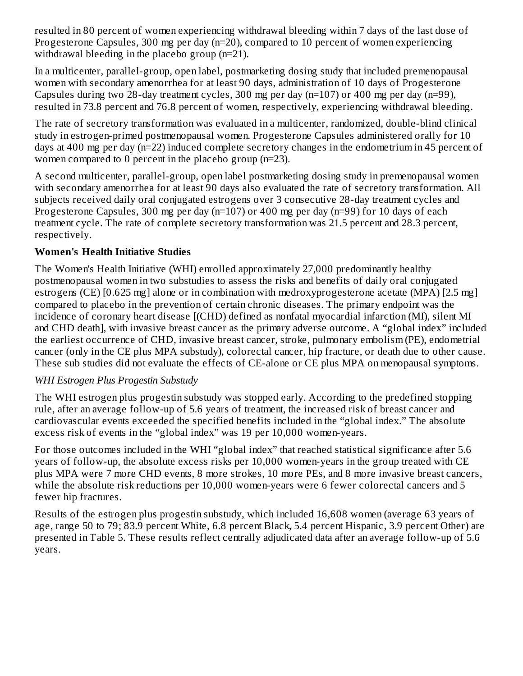resulted in 80 percent of women experiencing withdrawal bleeding within 7 days of the last dose of Progesterone Capsules, 300 mg per day (n=20), compared to 10 percent of women experiencing withdrawal bleeding in the placebo group (n=21).

In a multicenter, parallel-group, open label, postmarketing dosing study that included premenopausal women with secondary amenorrhea for at least 90 days, administration of 10 days of Progesterone Capsules during two 28-day treatment cycles, 300 mg per day (n=107) or 400 mg per day (n=99), resulted in 73.8 percent and 76.8 percent of women, respectively, experiencing withdrawal bleeding.

The rate of secretory transformation was evaluated in a multicenter, randomized, double-blind clinical study in estrogen-primed postmenopausal women. Progesterone Capsules administered orally for 10 days at 400 mg per day (n=22) induced complete secretory changes in the endometrium in 45 percent of women compared to 0 percent in the placebo group (n=23).

A second multicenter, parallel-group, open label postmarketing dosing study in premenopausal women with secondary amenorrhea for at least 90 days also evaluated the rate of secretory transformation. All subjects received daily oral conjugated estrogens over 3 consecutive 28-day treatment cycles and Progesterone Capsules, 300 mg per day (n=107) or 400 mg per day (n=99) for 10 days of each treatment cycle. The rate of complete secretory transformation was 21.5 percent and 28.3 percent, respectively.

## **Women's Health Initiative Studies**

The Women's Health Initiative (WHI) enrolled approximately 27,000 predominantly healthy postmenopausal women in two substudies to assess the risks and benefits of daily oral conjugated estrogens (CE) [0.625 mg] alone or in combination with medroxyprogesterone acetate (MPA) [2.5 mg] compared to placebo in the prevention of certain chronic diseases. The primary endpoint was the incidence of coronary heart disease [(CHD) defined as nonfatal myocardial infarction (MI), silent MI and CHD death], with invasive breast cancer as the primary adverse outcome. A "global index" included the earliest occurrence of CHD, invasive breast cancer, stroke, pulmonary embolism (PE), endometrial cancer (only in the CE plus MPA substudy), colorectal cancer, hip fracture, or death due to other cause. These sub studies did not evaluate the effects of CE-alone or CE plus MPA on menopausal symptoms.

#### *WHI Estrogen Plus Progestin Substudy*

The WHI estrogen plus progestin substudy was stopped early. According to the predefined stopping rule, after an average follow-up of 5.6 years of treatment, the increased risk of breast cancer and cardiovascular events exceeded the specified benefits included in the "global index." The absolute excess risk of events in the "global index" was 19 per 10,000 women-years.

For those outcomes included in the WHI "global index" that reached statistical significance after 5.6 years of follow-up, the absolute excess risks per 10,000 women-years in the group treated with CE plus MPA were 7 more CHD events, 8 more strokes, 10 more PEs, and 8 more invasive breast cancers, while the absolute risk reductions per 10,000 women-years were 6 fewer colorectal cancers and 5 fewer hip fractures.

Results of the estrogen plus progestin substudy, which included 16,608 women (average 63 years of age, range 50 to 79; 83.9 percent White, 6.8 percent Black, 5.4 percent Hispanic, 3.9 percent Other) are presented in Table 5. These results reflect centrally adjudicated data after an average follow-up of 5.6 years.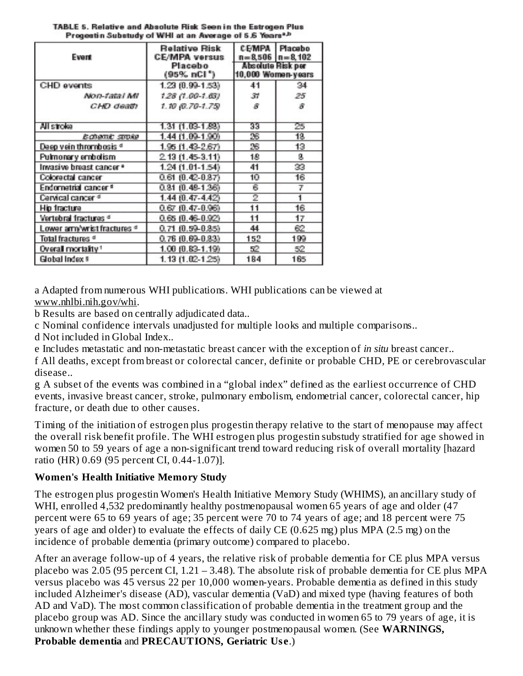| Event                             | <b>Relative Risk</b><br><b>CE/MPA versus</b><br>Placebo<br>$(95\% \; nCl^*)$ | CEMPA<br>$n = 8.506$ $n = 8.102$<br>Absolute Risk per<br>10,000 Women-years | Placebo        |
|-----------------------------------|------------------------------------------------------------------------------|-----------------------------------------------------------------------------|----------------|
| CHD events                        | 1.23 (0.99-1.53)                                                             | 41                                                                          | 34             |
| Non-tatal MI                      | 1.28 (1.00-1.63)                                                             | 31                                                                          | 25             |
| CHD death                         | $1.10$ (0.70-1.75)                                                           | 8                                                                           | я              |
| All stroke                        | 1.31 (1.03-1.93)                                                             | 33                                                                          | 25             |
| <b>Echamic stroke</b>             | 1.44 (1.09-1.90)                                                             | 26                                                                          | 18             |
| Deep vein thrombosis <sup>d</sup> | 1.95 (1.43-2.67)                                                             | 26                                                                          | 13             |
| Pulmonary embolism                | 2.13 (1.45-3.11)                                                             | 18                                                                          | g              |
| Invasive breast cancer *          | 1.24 (1.01-1.54)                                                             | 41                                                                          | 33             |
| Colorectal cancer                 | $0.61(0.42 - 0.87)$                                                          | 10                                                                          | 16             |
| Endometrial cancer <sup>®</sup>   | 0.81 (0.48-1.36)                                                             | 6                                                                           | $\overline{I}$ |
| Cervical cancer <sup>d</sup>      | 1.44 (0.47-4.42)                                                             | 2                                                                           |                |
| Hip fracture                      | $0.67(0.47-0.96)$                                                            | 11                                                                          | 16             |
| Vertebral fractures <sup>d</sup>  | $0.65(0.46-0.92)$                                                            | 11                                                                          | 17             |
| Lower arm/wrist fractures d       | $0.71$ $(0.59 - 0.85)$                                                       | 44                                                                          | 62             |
| Total fractures <sup>d</sup>      | $0.76(0.69 - 0.83)$                                                          | 152                                                                         | 199            |
| Overall mortality <sup>1</sup>    | 1.00 (0.83-1.19)                                                             | 52                                                                          | 52             |
| Global Index 9                    | $1.13(1.02 - 1.25)$                                                          | 184                                                                         | 165            |

TABLE 5. Relative and Absolute Risk Seen in the Estrogen Plus Progestin Substudy of WHI at an Average of 5.6 Years\*A

a Adapted from numerous WHI publications. WHI publications can be viewed at www.nhlbi.nih.gov/whi.

b Results are based on centrally adjudicated data..

c Nominal confidence intervals unadjusted for multiple looks and multiple comparisons..

d Not included in Global Index..

e Includes metastatic and non-metastatic breast cancer with the exception of *in situ* breast cancer..

f All deaths, except from breast or colorectal cancer, definite or probable CHD, PE or cerebrovascular disease..

g A subset of the events was combined in a "global index" defined as the earliest occurrence of CHD events, invasive breast cancer, stroke, pulmonary embolism, endometrial cancer, colorectal cancer, hip fracture, or death due to other causes.

Timing of the initiation of estrogen plus progestin therapy relative to the start of menopause may affect the overall risk benefit profile. The WHI estrogen plus progestin substudy stratified for age showed in women 50 to 59 years of age a non-significant trend toward reducing risk of overall mortality [hazard ratio (HR) 0.69 (95 percent CI, 0.44-1.07)].

## **Women's Health Initiative Memory Study**

The estrogen plus progestin Women's Health Initiative Memory Study (WHIMS), an ancillary study of WHI, enrolled 4,532 predominantly healthy postmenopausal women 65 years of age and older (47 percent were 65 to 69 years of age; 35 percent were 70 to 74 years of age; and 18 percent were 75 years of age and older) to evaluate the effects of daily CE (0.625 mg) plus MPA (2.5 mg) on the incidence of probable dementia (primary outcome) compared to placebo.

After an average follow-up of 4 years, the relative risk of probable dementia for CE plus MPA versus placebo was 2.05 (95 percent CI, 1.21 – 3.48). The absolute risk of probable dementia for CE plus MPA versus placebo was 45 versus 22 per 10,000 women-years. Probable dementia as defined in this study included Alzheimer's disease (AD), vascular dementia (VaD) and mixed type (having features of both AD and VaD). The most common classification of probable dementia in the treatment group and the placebo group was AD. Since the ancillary study was conducted in women 65 to 79 years of age, it is unknown whether these findings apply to younger postmenopausal women. (See **WARNINGS, Probable dementia** and **PRECAUTIONS, Geriatric Us e**.)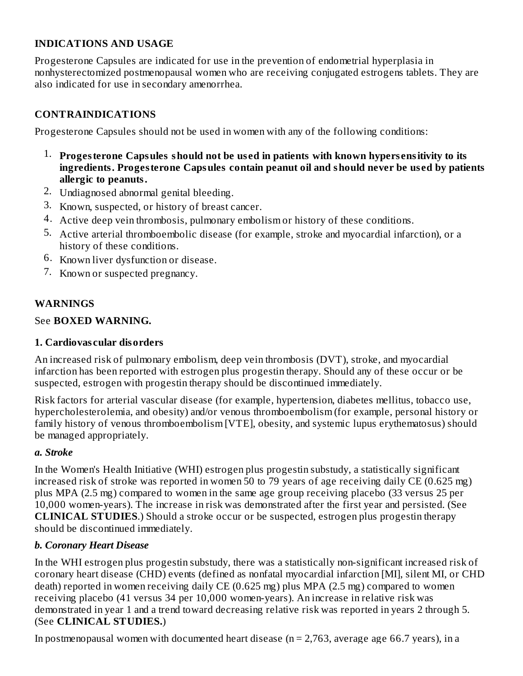### **INDICATIONS AND USAGE**

Progesterone Capsules are indicated for use in the prevention of endometrial hyperplasia in nonhysterectomized postmenopausal women who are receiving conjugated estrogens tablets. They are also indicated for use in secondary amenorrhea.

## **CONTRAINDICATIONS**

Progesterone Capsules should not be used in women with any of the following conditions:

- 1. **Progesterone Capsules should not be us ed in patients with known hypers ensitivity to its ingredients. Progesterone Capsules contain peanut oil and should never be us ed by patients allergic to peanuts.**
- 2. Undiagnosed abnormal genital bleeding.
- 3. Known, suspected, or history of breast cancer.
- 4. Active deep vein thrombosis, pulmonary embolism or history of these conditions.
- 5. Active arterial thromboembolic disease (for example, stroke and myocardial infarction), or a history of these conditions.
- 6. Known liver dysfunction or disease.
- 7. Known or suspected pregnancy.

## **WARNINGS**

### See **BOXED WARNING.**

### **1. Cardiovas cular disorders**

An increased risk of pulmonary embolism, deep vein thrombosis (DVT), stroke, and myocardial infarction has been reported with estrogen plus progestin therapy. Should any of these occur or be suspected, estrogen with progestin therapy should be discontinued immediately.

Risk factors for arterial vascular disease (for example, hypertension, diabetes mellitus, tobacco use, hypercholesterolemia, and obesity) and/or venous thromboembolism (for example, personal history or family history of venous thromboembolism [VTE], obesity, and systemic lupus erythematosus) should be managed appropriately.

#### *a. Stroke*

In the Women's Health Initiative (WHI) estrogen plus progestin substudy, a statistically significant increased risk of stroke was reported in women 50 to 79 years of age receiving daily CE (0.625 mg) plus MPA (2.5 mg) compared to women in the same age group receiving placebo (33 versus 25 per 10,000 women-years). The increase in risk was demonstrated after the first year and persisted. (See **CLINICAL STUDIES**.) Should a stroke occur or be suspected, estrogen plus progestin therapy should be discontinued immediately.

#### *b. Coronary Heart Disease*

In the WHI estrogen plus progestin substudy, there was a statistically non-significant increased risk of coronary heart disease (CHD) events (defined as nonfatal myocardial infarction [MI], silent MI, or CHD death) reported in women receiving daily CE (0.625 mg) plus MPA (2.5 mg) compared to women receiving placebo (41 versus 34 per 10,000 women-years). An increase in relative risk was demonstrated in year 1 and a trend toward decreasing relative risk was reported in years 2 through 5. (See **CLINICAL STUDIES.**)

In postmenopausal women with documented heart disease ( $n = 2,763$ , average age 66.7 years), in a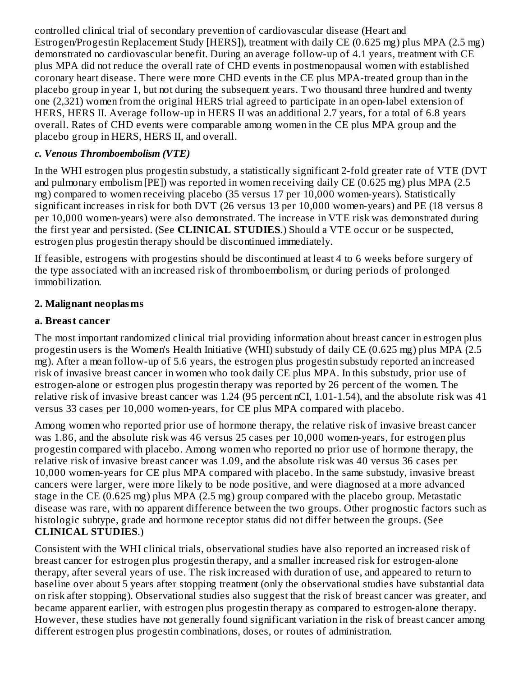controlled clinical trial of secondary prevention of cardiovascular disease (Heart and Estrogen/Progestin Replacement Study [HERS]), treatment with daily CE (0.625 mg) plus MPA (2.5 mg) demonstrated no cardiovascular benefit. During an average follow-up of 4.1 years, treatment with CE plus MPA did not reduce the overall rate of CHD events in postmenopausal women with established coronary heart disease. There were more CHD events in the CE plus MPA-treated group than in the placebo group in year 1, but not during the subsequent years. Two thousand three hundred and twenty one (2,321) women from the original HERS trial agreed to participate in an open-label extension of HERS, HERS II. Average follow-up in HERS II was an additional 2.7 years, for a total of 6.8 years overall. Rates of CHD events were comparable among women in the CE plus MPA group and the placebo group in HERS, HERS II, and overall.

### *c. Venous Thromboembolism (VTE)*

In the WHI estrogen plus progestin substudy, a statistically significant 2-fold greater rate of VTE (DVT and pulmonary embolism [PE]) was reported in women receiving daily CE (0.625 mg) plus MPA (2.5 mg) compared to women receiving placebo (35 versus 17 per 10,000 women-years). Statistically significant increases in risk for both DVT (26 versus 13 per 10,000 women-years) and PE (18 versus 8 per 10,000 women-years) were also demonstrated. The increase in VTE risk was demonstrated during the first year and persisted. (See **CLINICAL STUDIES**.) Should a VTE occur or be suspected, estrogen plus progestin therapy should be discontinued immediately.

If feasible, estrogens with progestins should be discontinued at least 4 to 6 weeks before surgery of the type associated with an increased risk of thromboembolism, or during periods of prolonged immobilization.

## **2. Malignant neoplasms**

### **a. Breast cancer**

The most important randomized clinical trial providing information about breast cancer in estrogen plus progestin users is the Women's Health Initiative (WHI) substudy of daily CE (0.625 mg) plus MPA (2.5 mg). After a mean follow-up of 5.6 years, the estrogen plus progestin substudy reported an increased risk of invasive breast cancer in women who took daily CE plus MPA. In this substudy, prior use of estrogen-alone or estrogen plus progestin therapy was reported by 26 percent of the women. The relative risk of invasive breast cancer was 1.24 (95 percent nCI, 1.01-1.54), and the absolute risk was 41 versus 33 cases per 10,000 women-years, for CE plus MPA compared with placebo.

Among women who reported prior use of hormone therapy, the relative risk of invasive breast cancer was 1.86, and the absolute risk was 46 versus 25 cases per 10,000 women-years, for estrogen plus progestin compared with placebo. Among women who reported no prior use of hormone therapy, the relative risk of invasive breast cancer was 1.09, and the absolute risk was 40 versus 36 cases per 10,000 women-years for CE plus MPA compared with placebo. In the same substudy, invasive breast cancers were larger, were more likely to be node positive, and were diagnosed at a more advanced stage in the CE (0.625 mg) plus MPA (2.5 mg) group compared with the placebo group. Metastatic disease was rare, with no apparent difference between the two groups. Other prognostic factors such as histologic subtype, grade and hormone receptor status did not differ between the groups. (See **CLINICAL STUDIES**.)

Consistent with the WHI clinical trials, observational studies have also reported an increased risk of breast cancer for estrogen plus progestin therapy, and a smaller increased risk for estrogen-alone therapy, after several years of use. The risk increased with duration of use, and appeared to return to baseline over about 5 years after stopping treatment (only the observational studies have substantial data on risk after stopping). Observational studies also suggest that the risk of breast cancer was greater, and became apparent earlier, with estrogen plus progestin therapy as compared to estrogen-alone therapy. However, these studies have not generally found significant variation in the risk of breast cancer among different estrogen plus progestin combinations, doses, or routes of administration.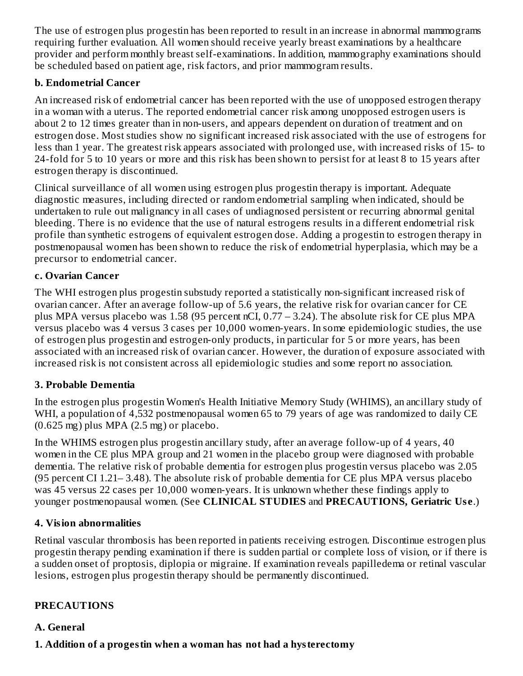The use of estrogen plus progestin has been reported to result in an increase in abnormal mammograms requiring further evaluation. All women should receive yearly breast examinations by a healthcare provider and perform monthly breast self-examinations. In addition, mammography examinations should be scheduled based on patient age, risk factors, and prior mammogram results.

### **b. Endometrial Cancer**

An increased risk of endometrial cancer has been reported with the use of unopposed estrogen therapy in a woman with a uterus. The reported endometrial cancer risk among unopposed estrogen users is about 2 to 12 times greater than in non-users, and appears dependent on duration of treatment and on estrogen dose. Most studies show no significant increased risk associated with the use of estrogens for less than 1 year. The greatest risk appears associated with prolonged use, with increased risks of 15- to 24-fold for 5 to 10 years or more and this risk has been shown to persist for at least 8 to 15 years after estrogen therapy is discontinued.

Clinical surveillance of all women using estrogen plus progestin therapy is important. Adequate diagnostic measures, including directed or random endometrial sampling when indicated, should be undertaken to rule out malignancy in all cases of undiagnosed persistent or recurring abnormal genital bleeding. There is no evidence that the use of natural estrogens results in a different endometrial risk profile than synthetic estrogens of equivalent estrogen dose. Adding a progestin to estrogen therapy in postmenopausal women has been shown to reduce the risk of endometrial hyperplasia, which may be a precursor to endometrial cancer.

#### **c. Ovarian Cancer**

The WHI estrogen plus progestin substudy reported a statistically non-significant increased risk of ovarian cancer. After an average follow-up of 5.6 years, the relative risk for ovarian cancer for CE plus MPA versus placebo was 1.58 (95 percent nCI, 0.77 – 3.24). The absolute risk for CE plus MPA versus placebo was 4 versus 3 cases per 10,000 women-years. In some epidemiologic studies, the use of estrogen plus progestin and estrogen-only products, in particular for 5 or more years, has been associated with an increased risk of ovarian cancer. However, the duration of exposure associated with increased risk is not consistent across all epidemiologic studies and some report no association.

#### **3. Probable Dementia**

In the estrogen plus progestin Women's Health Initiative Memory Study (WHIMS), an ancillary study of WHI, a population of 4,532 postmenopausal women 65 to 79 years of age was randomized to daily CE  $(0.625 \text{ mg})$  plus MPA  $(2.5 \text{ mg})$  or placebo.

In the WHIMS estrogen plus progestin ancillary study, after an average follow-up of 4 years, 40 women in the CE plus MPA group and 21 women in the placebo group were diagnosed with probable dementia. The relative risk of probable dementia for estrogen plus progestin versus placebo was 2.05 (95 percent CI 1.21– 3.48). The absolute risk of probable dementia for CE plus MPA versus placebo was 45 versus 22 cases per 10,000 women-years. It is unknown whether these findings apply to younger postmenopausal women. (See **CLINICAL STUDIES** and **PRECAUTIONS, Geriatric Us e**.)

#### **4. Vision abnormalities**

Retinal vascular thrombosis has been reported in patients receiving estrogen. Discontinue estrogen plus progestin therapy pending examination if there is sudden partial or complete loss of vision, or if there is a sudden onset of proptosis, diplopia or migraine. If examination reveals papilledema or retinal vascular lesions, estrogen plus progestin therapy should be permanently discontinued.

#### **PRECAUTIONS**

#### **A. General**

## **1. Addition of a progestin when a woman has not had a hysterectomy**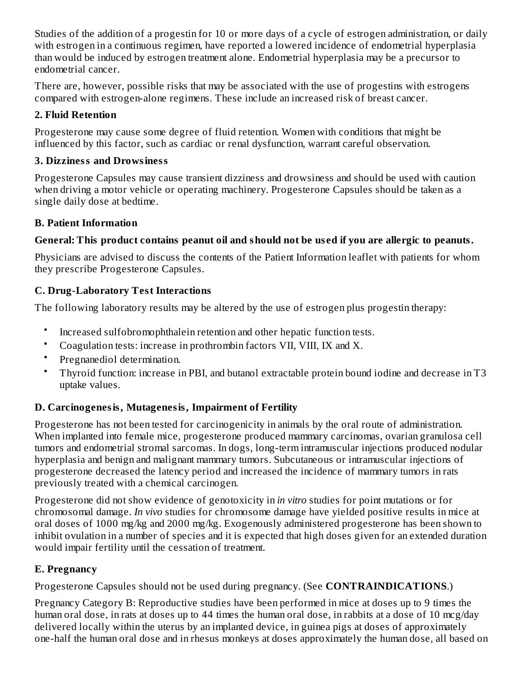Studies of the addition of a progestin for 10 or more days of a cycle of estrogen administration, or daily with estrogen in a continuous regimen, have reported a lowered incidence of endometrial hyperplasia than would be induced by estrogen treatment alone. Endometrial hyperplasia may be a precursor to endometrial cancer.

There are, however, possible risks that may be associated with the use of progestins with estrogens compared with estrogen-alone regimens. These include an increased risk of breast cancer.

## **2. Fluid Retention**

Progesterone may cause some degree of fluid retention. Women with conditions that might be influenced by this factor, such as cardiac or renal dysfunction, warrant careful observation.

## **3. Dizziness and Drowsiness**

Progesterone Capsules may cause transient dizziness and drowsiness and should be used with caution when driving a motor vehicle or operating machinery. Progesterone Capsules should be taken as a single daily dose at bedtime.

## **B. Patient Information**

# **General: This product contains peanut oil and should not be us ed if you are allergic to peanuts.**

Physicians are advised to discuss the contents of the Patient Information leaflet with patients for whom they prescribe Progesterone Capsules.

# **C. Drug-Laboratory Test Interactions**

The following laboratory results may be altered by the use of estrogen plus progestin therapy:

- Increased sulfobromophthalein retention and other hepatic function tests.
- Coagulation tests: increase in prothrombin factors VII, VIII, IX and X.
- Pregnanediol determination.
- Thyroid function: increase in PBI, and butanol extractable protein bound iodine and decrease in T3 uptake values.

# **D. Carcinogenesis, Mutagenesis, Impairment of Fertility**

Progesterone has not been tested for carcinogenicity in animals by the oral route of administration. When implanted into female mice, progesterone produced mammary carcinomas, ovarian granulosa cell tumors and endometrial stromal sarcomas. In dogs, long-term intramuscular injections produced nodular hyperplasia and benign and malignant mammary tumors. Subcutaneous or intramuscular injections of progesterone decreased the latency period and increased the incidence of mammary tumors in rats previously treated with a chemical carcinogen.

Progesterone did not show evidence of genotoxicity in *in vitro* studies for point mutations or for chromosomal damage. *In vivo* studies for chromosome damage have yielded positive results in mice at oral doses of 1000 mg/kg and 2000 mg/kg. Exogenously administered progesterone has been shown to inhibit ovulation in a number of species and it is expected that high doses given for an extended duration would impair fertility until the cessation of treatment.

# **E. Pregnancy**

Progesterone Capsules should not be used during pregnancy. (See **CONTRAINDICATIONS**.)

Pregnancy Category B: Reproductive studies have been performed in mice at doses up to 9 times the human oral dose, in rats at doses up to 44 times the human oral dose, in rabbits at a dose of 10 mcg/day delivered locally within the uterus by an implanted device, in guinea pigs at doses of approximately one-half the human oral dose and in rhesus monkeys at doses approximately the human dose, all based on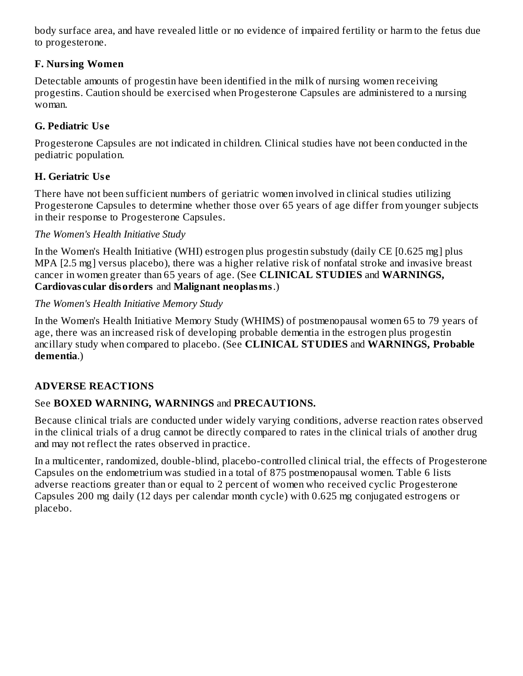body surface area, and have revealed little or no evidence of impaired fertility or harm to the fetus due to progesterone.

## **F. Nursing Women**

Detectable amounts of progestin have been identified in the milk of nursing women receiving progestins. Caution should be exercised when Progesterone Capsules are administered to a nursing woman.

# **G. Pediatric Us e**

Progesterone Capsules are not indicated in children. Clinical studies have not been conducted in the pediatric population.

# **H. Geriatric Us e**

There have not been sufficient numbers of geriatric women involved in clinical studies utilizing Progesterone Capsules to determine whether those over 65 years of age differ from younger subjects in their response to Progesterone Capsules.

## *The Women's Health Initiative Study*

In the Women's Health Initiative (WHI) estrogen plus progestin substudy (daily CE [0.625 mg] plus MPA [2.5 mg] versus placebo), there was a higher relative risk of nonfatal stroke and invasive breast cancer in women greater than 65 years of age. (See **CLINICAL STUDIES** and **WARNINGS, Cardiovas cular disorders** and **Malignant neoplasms**.)

## *The Women's Health Initiative Memory Study*

In the Women's Health Initiative Memory Study (WHIMS) of postmenopausal women 65 to 79 years of age, there was an increased risk of developing probable dementia in the estrogen plus progestin ancillary study when compared to placebo. (See **CLINICAL STUDIES** and **WARNINGS, Probable dementia**.)

# **ADVERSE REACTIONS**

# See **BOXED WARNING, WARNINGS** and **PRECAUTIONS.**

Because clinical trials are conducted under widely varying conditions, adverse reaction rates observed in the clinical trials of a drug cannot be directly compared to rates in the clinical trials of another drug and may not reflect the rates observed in practice.

In a multicenter, randomized, double-blind, placebo-controlled clinical trial, the effects of Progesterone Capsules on the endometrium was studied in a total of 875 postmenopausal women. Table 6 lists adverse reactions greater than or equal to 2 percent of women who received cyclic Progesterone Capsules 200 mg daily (12 days per calendar month cycle) with 0.625 mg conjugated estrogens or placebo.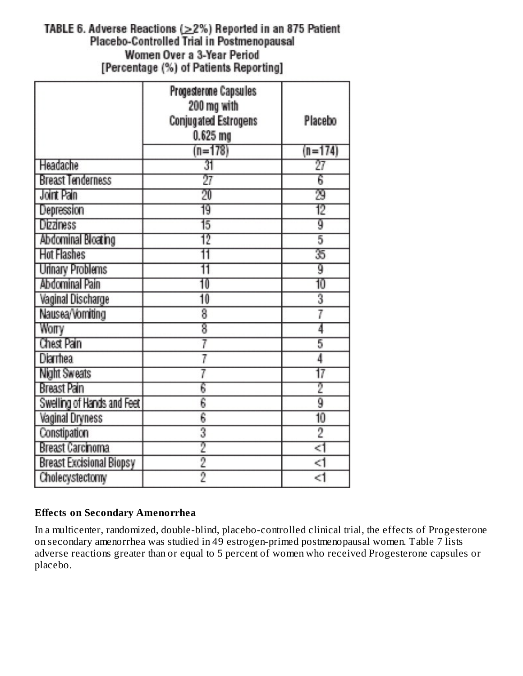## TABLE 6. Adverse Reactions  $(>=2\%)$  Reported in an 875 Patient Placebo-Controlled Trial in Postmenopausal Women Over a 3-Year Period [Percentage (%) of Patients Reporting]

|                                 | Progesterone Capsules<br>200 mg with |           |
|---------------------------------|--------------------------------------|-----------|
|                                 | <b>Conjugated Estrogens</b>          | Placebo   |
|                                 | 0.625 <sub>mg</sub>                  |           |
|                                 | $(n=178)$                            | $(n=174)$ |
| Headache                        | 31                                   | 27        |
| <b>Breast Tenderness</b>        | 27                                   | 6         |
| Joint Pain                      | 20                                   | 29        |
| Depression                      | 19                                   | 12        |
| <b>Dizziness</b>                | 15                                   | g         |
| Abdominal Bloating              | 12                                   | 5         |
| <b>Hot Flashes</b>              | 11                                   | 35        |
| Urinary Problems                | 11                                   | g         |
| Abdominal Pain                  | 10                                   | 10        |
| <b>Vaginal Discharge</b>        | 10                                   | 3         |
| Nausea/Vomiting                 | 8                                    | 7         |
| Worry                           | 8                                    | 4         |
| Chest Pain                      | 7                                    | 5         |
| Diarrhea                        |                                      | 4         |
| Night Sweats                    |                                      | 17        |
| Breast Pain                     | 6                                    | 2         |
| Swelling of Hands and Feet      | 6                                    | ğ         |
| <b>Vaginal Dryness</b>          | 6                                    | 10        |
| Constipation                    | 3                                    | 2         |
| Breast Carcinoma                | 2                                    | <1        |
| <b>Breast Excisional Biopsy</b> | $\overline{2}$                       | <1        |
| Cholecystectomy                 | 9                                    | <1        |

## **Effects on Secondary Amenorrhea**

In a multicenter, randomized, double-blind, placebo-controlled clinical trial, the effects of Progesterone on secondary amenorrhea was studied in 49 estrogen-primed postmenopausal women. Table 7 lists adverse reactions greater than or equal to 5 percent of women who received Progesterone capsules or placebo.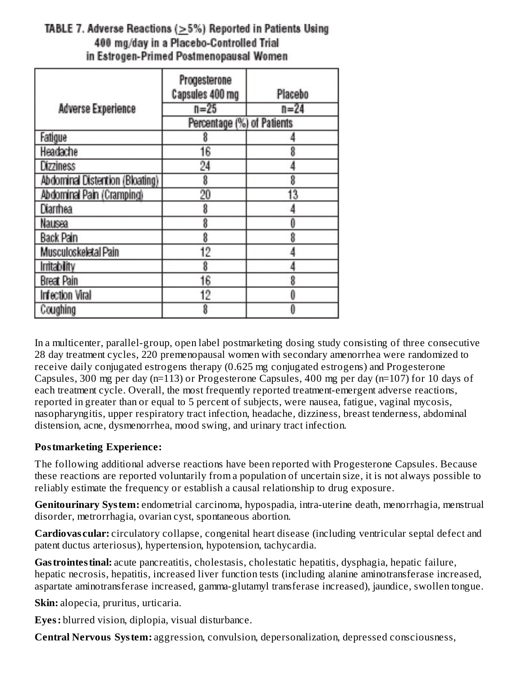# TABLE 7. Adverse Reactions (>5%) Reported in Patients Using 400 mg/day in a Placebo-Controlled Trial in Estrogen-Primed Postmenopausal Women

|                                 | Progesterone<br>Capsules 400 mg | Placebo  |
|---------------------------------|---------------------------------|----------|
| <b>Adverse Experience</b>       | $n = 25$                        | $n = 24$ |
|                                 | Percentage (%) of Patients      |          |
| Fatigue                         | 8                               |          |
| Headache                        | 16                              |          |
| Dizziness                       | 24                              |          |
| Abdominal Distention (Bloating) | 8                               | 8        |
| Abdominal Pain (Cramping)       | 20                              | 13       |
| <b>Diarrhea</b>                 | 8                               |          |
| Nausea                          | 8                               | Ô        |
| Back Pain                       | 8                               | 8        |
| Musculoskeletal Pain            | 12                              |          |
| <b>Initability</b>              | 8                               |          |
| <b>Breat Pain</b>               | 16                              | 8        |
| <b>Infection Viral</b>          | 12                              |          |
| Coughing                        | 8                               |          |

In a multicenter, parallel-group, open label postmarketing dosing study consisting of three consecutive 28 day treatment cycles, 220 premenopausal women with secondary amenorrhea were randomized to receive daily conjugated estrogens therapy (0.625 mg conjugated estrogens) and Progesterone Capsules, 300 mg per day (n=113) or Progesterone Capsules, 400 mg per day (n=107) for 10 days of each treatment cycle. Overall, the most frequently reported treatment-emergent adverse reactions, reported in greater than or equal to 5 percent of subjects, were nausea, fatigue, vaginal mycosis, nasopharyngitis, upper respiratory tract infection, headache, dizziness, breast tenderness, abdominal distension, acne, dysmenorrhea, mood swing, and urinary tract infection.

## **Postmarketing Experience:**

The following additional adverse reactions have been reported with Progesterone Capsules. Because these reactions are reported voluntarily from a population of uncertain size, it is not always possible to reliably estimate the frequency or establish a causal relationship to drug exposure.

**Genitourinary System:** endometrial carcinoma, hypospadia, intra-uterine death, menorrhagia, menstrual disorder, metrorrhagia, ovarian cyst, spontaneous abortion.

**Cardiovas cular:** circulatory collapse, congenital heart disease (including ventricular septal defect and patent ductus arteriosus), hypertension, hypotension, tachycardia.

Gastrointestinal: acute pancreatitis, cholestasis, cholestatic hepatitis, dysphagia, hepatic failure, hepatic necrosis, hepatitis, increased liver function tests (including alanine aminotransferase increased, aspartate aminotransferase increased, gamma-glutamyl transferase increased), jaundice, swollen tongue.

**Skin:** alopecia, pruritus, urticaria.

**Eyes:** blurred vision, diplopia, visual disturbance.

**Central Nervous System:** aggression, convulsion, depersonalization, depressed consciousness,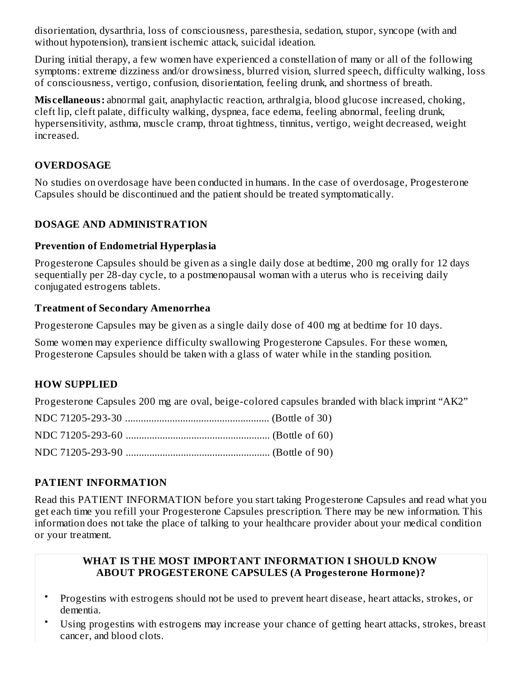disorientation, dysarthria, loss of consciousness, paresthesia, sedation, stupor, syncope (with and without hypotension), transient ischemic attack, suicidal ideation.

During initial therapy, a few women have experienced a constellation of many or all of the following symptoms: extreme dizziness and/or drowsiness, blurred vision, slurred speech, difficulty walking, loss of consciousness, vertigo, confusion, disorientation, feeling drunk, and shortness of breath.

**Mis cellaneous:** abnormal gait, anaphylactic reaction, arthralgia, blood glucose increased, choking, cleft lip, cleft palate, difficulty walking, dyspnea, face edema, feeling abnormal, feeling drunk, hypersensitivity, asthma, muscle cramp, throat tightness, tinnitus, vertigo, weight decreased, weight increased.

### **OVERDOSAGE**

No studies on overdosage have been conducted in humans. In the case of overdosage, Progesterone Capsules should be discontinued and the patient should be treated symptomatically.

### **DOSAGE AND ADMINISTRATION**

#### **Prevention of Endometrial Hyperplasia**

Progesterone Capsules should be given as a single daily dose at bedtime, 200 mg orally for 12 days sequentially per 28-day cycle, to a postmenopausal woman with a uterus who is receiving daily conjugated estrogens tablets.

#### **Treatment of Secondary Amenorrhea**

Progesterone Capsules may be given as a single daily dose of 400 mg at bedtime for 10 days.

Some women may experience difficulty swallowing Progesterone Capsules. For these women, Progesterone Capsules should be taken with a glass of water while in the standing position.

## **HOW SUPPLIED**

Progesterone Capsules 200 mg are oval, beige-colored capsules branded with black imprint "AK2"

#### **PATIENT INFORMATION**

Read this PATIENT INFORMATION before you start taking Progesterone Capsules and read what you get each time you refill your Progesterone Capsules prescription. There may be new information. This information does not take the place of talking to your healthcare provider about your medical condition or your treatment.

#### **WHAT IS THE MOST IMPORTANT INFORMATION I SHOULD KNOW ABOUT PROGESTERONE CAPSULES (A Progesterone Hormone)?**

- Progestins with estrogens should not be used to prevent heart disease, heart attacks, strokes, or dementia.
- Using progestins with estrogens may increase your chance of getting heart attacks, strokes, breast cancer, and blood clots.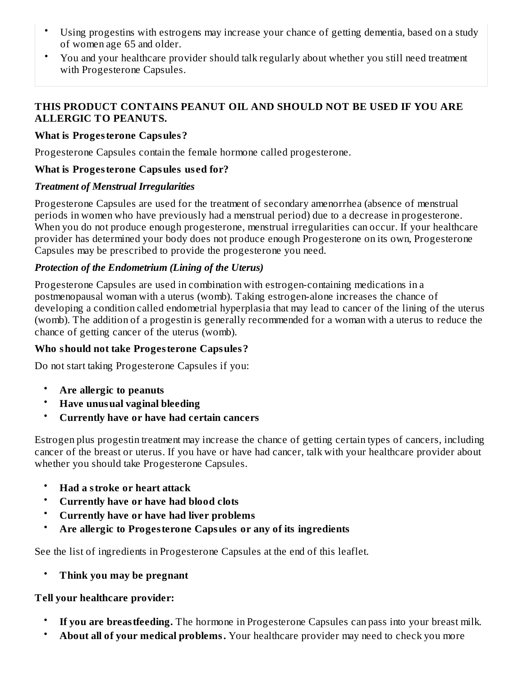- Using progestins with estrogens may increase your chance of getting dementia, based on a study of women age 65 and older.
- You and your healthcare provider should talk regularly about whether you still need treatment with Progesterone Capsules.

#### **THIS PRODUCT CONTAINS PEANUT OIL AND SHOULD NOT BE USED IF YOU ARE ALLERGIC TO PEANUTS.**

### **What is Progesterone Capsules?**

Progesterone Capsules contain the female hormone called progesterone.

### **What is Progesterone Capsules us ed for?**

## *Treatment of Menstrual Irregularities*

Progesterone Capsules are used for the treatment of secondary amenorrhea (absence of menstrual periods in women who have previously had a menstrual period) due to a decrease in progesterone. When you do not produce enough progesterone, menstrual irregularities can occur. If your healthcare provider has determined your body does not produce enough Progesterone on its own, Progesterone Capsules may be prescribed to provide the progesterone you need.

## *Protection of the Endometrium (Lining of the Uterus)*

Progesterone Capsules are used in combination with estrogen-containing medications in a postmenopausal woman with a uterus (womb). Taking estrogen-alone increases the chance of developing a condition called endometrial hyperplasia that may lead to cancer of the lining of the uterus (womb). The addition of a progestin is generally recommended for a woman with a uterus to reduce the chance of getting cancer of the uterus (womb).

## **Who should not take Progesterone Capsules?**

Do not start taking Progesterone Capsules if you:

- **Are allergic to peanuts**
- **Have unusual vaginal bleeding**
- **Currently have or have had certain cancers**

Estrogen plus progestin treatment may increase the chance of getting certain types of cancers, including cancer of the breast or uterus. If you have or have had cancer, talk with your healthcare provider about whether you should take Progesterone Capsules.

- **Had a stroke or heart attack**
- **Currently have or have had blood clots**
- **Currently have or have had liver problems**
- **Are allergic to Progesterone Capsules or any of its ingredients**

See the list of ingredients in Progesterone Capsules at the end of this leaflet.

• **Think you may be pregnant**

## **Tell your healthcare provider:**

- **If you are breastfeeding.** The hormone in Progesterone Capsules can pass into your breast milk.
- **About all of your medical problems.** Your healthcare provider may need to check you more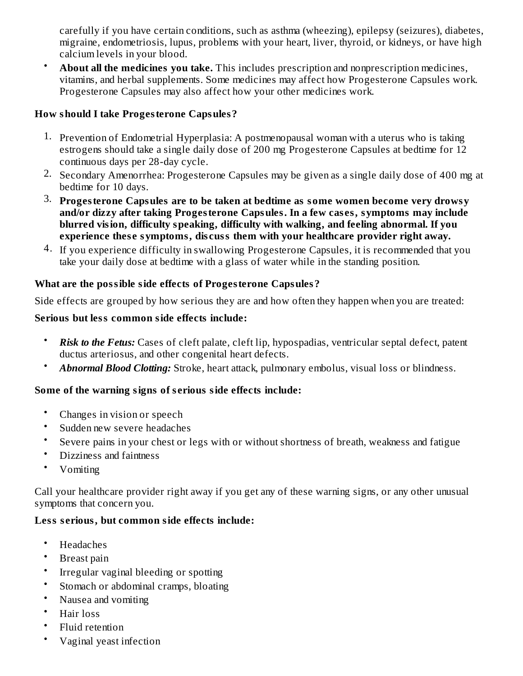carefully if you have certain conditions, such as asthma (wheezing), epilepsy (seizures), diabetes, migraine, endometriosis, lupus, problems with your heart, liver, thyroid, or kidneys, or have high calcium levels in your blood.

• **About all the medicines you take.** This includes prescription and nonprescription medicines, vitamins, and herbal supplements. Some medicines may affect how Progesterone Capsules work. Progesterone Capsules may also affect how your other medicines work.

### **How should I take Progesterone Capsules?**

- 1. Prevention of Endometrial Hyperplasia: A postmenopausal woman with a uterus who is taking estrogens should take a single daily dose of 200 mg Progesterone Capsules at bedtime for 12 continuous days per 28-day cycle.
- 2. Secondary Amenorrhea: Progesterone Capsules may be given as a single daily dose of 400 mg at bedtime for 10 days.
- 3. **Progesterone Capsules are to be taken at bedtime as some women become very drowsy and/or dizzy after taking Progesterone Capsules. In a few cas es, symptoms may include blurred vision, difficulty speaking, difficulty with walking, and feeling abnormal. If you experience thes e symptoms, dis cuss them with your healthcare provider right away.**
- 4. If you experience difficulty in swallowing Progesterone Capsules, it is recommended that you take your daily dose at bedtime with a glass of water while in the standing position.

## **What are the possible side effects of Progesterone Capsules?**

Side effects are grouped by how serious they are and how often they happen when you are treated:

### **Serious but less common side effects include:**

- *Risk to the Fetus:* Cases of cleft palate, cleft lip, hypospadias, ventricular septal defect, patent ductus arteriosus, and other congenital heart defects.
- *Abnormal Blood Clotting:* Stroke, heart attack, pulmonary embolus, visual loss or blindness.

## **Some of the warning signs of s erious side effects include:**

- Changes in vision or speech
- Sudden new severe headaches
- Severe pains in your chest or legs with or without shortness of breath, weakness and fatigue
- Dizziness and faintness
- Vomiting

Call your healthcare provider right away if you get any of these warning signs, or any other unusual symptoms that concern you.

#### **Less s erious, but common side effects include:**

- Headaches
- Breast pain
- Irregular vaginal bleeding or spotting
- Stomach or abdominal cramps, bloating
- Nausea and vomiting
- Hair loss
- Fluid retention
- Vaginal yeast infection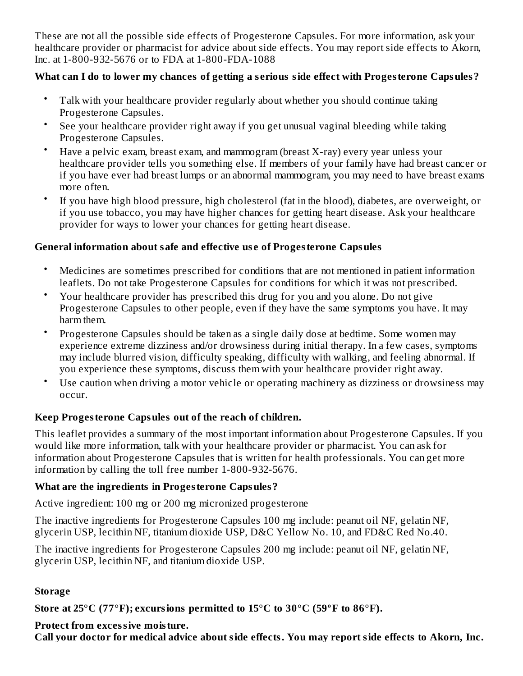These are not all the possible side effects of Progesterone Capsules. For more information, ask your healthcare provider or pharmacist for advice about side effects. You may report side effects to Akorn, Inc. at 1-800-932-5676 or to FDA at 1-800-FDA-1088

### **What can I do to lower my chances of getting a s erious side effect with Progesterone Capsules?**

- Talk with your healthcare provider regularly about whether you should continue taking Progesterone Capsules.
- See your healthcare provider right away if you get unusual vaginal bleeding while taking Progesterone Capsules.
- Have a pelvic exam, breast exam, and mammogram (breast X-ray) every year unless your healthcare provider tells you something else. If members of your family have had breast cancer or if you have ever had breast lumps or an abnormal mammogram, you may need to have breast exams more often.
- If you have high blood pressure, high cholesterol (fat in the blood), diabetes, are overweight, or if you use tobacco, you may have higher chances for getting heart disease. Ask your healthcare provider for ways to lower your chances for getting heart disease.

#### **General information about safe and effective us e of Progesterone Capsules**

- Medicines are sometimes prescribed for conditions that are not mentioned in patient information leaflets. Do not take Progesterone Capsules for conditions for which it was not prescribed.
- Your healthcare provider has prescribed this drug for you and you alone. Do not give Progesterone Capsules to other people, even if they have the same symptoms you have. It may harm them.
- Progesterone Capsules should be taken as a single daily dose at bedtime. Some women may experience extreme dizziness and/or drowsiness during initial therapy. In a few cases, symptoms may include blurred vision, difficulty speaking, difficulty with walking, and feeling abnormal. If you experience these symptoms, discuss them with your healthcare provider right away.
- Use caution when driving a motor vehicle or operating machinery as dizziness or drowsiness may occur.

## **Keep Progesterone Capsules out of the reach of children.**

This leaflet provides a summary of the most important information about Progesterone Capsules. If you would like more information, talk with your healthcare provider or pharmacist. You can ask for information about Progesterone Capsules that is written for health professionals. You can get more information by calling the toll free number 1-800-932-5676.

#### **What are the ingredients in Progesterone Capsules?**

Active ingredient: 100 mg or 200 mg micronized progesterone

The inactive ingredients for Progesterone Capsules 100 mg include: peanut oil NF, gelatin NF, glycerin USP, lecithin NF, titanium dioxide USP, D&C Yellow No. 10, and FD&C Red No.40.

The inactive ingredients for Progesterone Capsules 200 mg include: peanut oil NF, gelatin NF, glycerin USP, lecithin NF, and titanium dioxide USP.

#### **Storage**

**Store at 25°C (77°F); excursions permitted to 15°C to 30°C (59ºF to 86°F).**

#### **Protect from excessive moisture.**

**Call your doctor for medical advice about side effects. You may report side effects to Akorn, Inc.**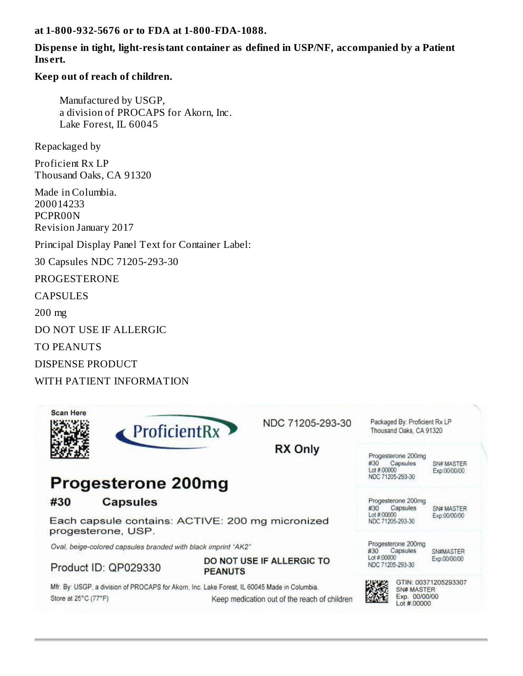**at 1-800-932-5676 or to FDA at 1-800-FDA-1088.**

#### **Dispens e in tight, light-resistant container as defined in USP/NF, accompanied by a Patient Ins ert.**

#### **Keep out of reach of children.**

Manufactured by USGP, a division of PROCAPS for Akorn, Inc. Lake Forest, IL 60045

Repackaged by

Proficient Rx LP Thousand Oaks, CA 91320

Made in Columbia. 200014233 PCPR00N Revision January 2017

Principal Display Panel Text for Container Label:

30 Capsules NDC 71205-293-30

PROGESTERONE

CAPSULES

200 mg

DO NOT USE IF ALLERGIC

TO PEANUTS

DISPENSE PRODUCT

WITH PATIENT INFORMATION

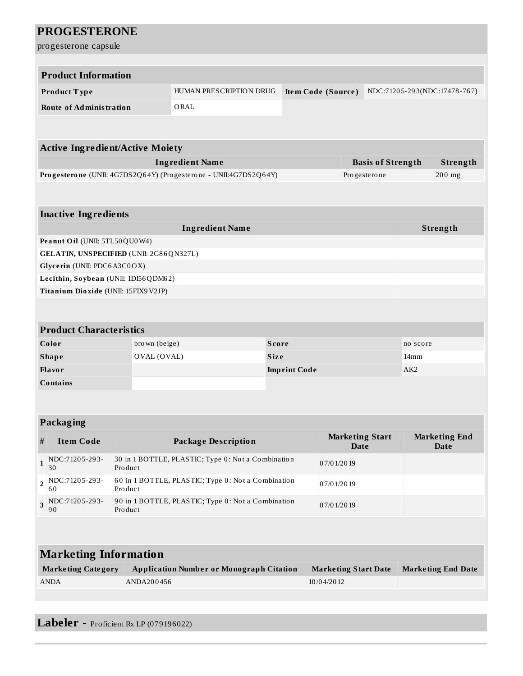|                | <b>PROGESTERONE</b>                     |               |                                                                  |                     |                             |                              |                           |
|----------------|-----------------------------------------|---------------|------------------------------------------------------------------|---------------------|-----------------------------|------------------------------|---------------------------|
|                | progesterone capsule                    |               |                                                                  |                     |                             |                              |                           |
|                |                                         |               |                                                                  |                     |                             |                              |                           |
|                | <b>Product Information</b>              |               |                                                                  |                     |                             |                              |                           |
|                | Product Type                            |               | HUMAN PRESCRIPTION DRUG                                          |                     | Item Code (Source)          | NDC:71205-293(NDC:17478-767) |                           |
|                | <b>Route of Administration</b>          |               | ORAL                                                             |                     |                             |                              |                           |
|                |                                         |               |                                                                  |                     |                             |                              |                           |
|                |                                         |               |                                                                  |                     |                             |                              |                           |
|                | <b>Active Ingredient/Active Moiety</b>  |               |                                                                  |                     |                             |                              |                           |
|                |                                         |               | <b>Ingredient Name</b>                                           |                     |                             | <b>Basis of Strength</b>     | Strength                  |
|                |                                         |               | Progesterone (UNII: 4G7DS2Q64Y) (Progesterone - UNII:4G7DS2Q64Y) |                     |                             | Progesterone                 | $200$ mg                  |
|                |                                         |               |                                                                  |                     |                             |                              |                           |
|                | <b>Inactive Ingredients</b>             |               |                                                                  |                     |                             |                              |                           |
|                |                                         |               | <b>Ingredient Name</b>                                           |                     |                             |                              | Strength                  |
|                | Peanut Oil (UNII: 5TL50QU0W4)           |               |                                                                  |                     |                             |                              |                           |
|                | GELATIN, UNSPECIFIED (UNII: 2G86QN327L) |               |                                                                  |                     |                             |                              |                           |
|                | Glycerin (UNII: PDC6A3C0OX)             |               |                                                                  |                     |                             |                              |                           |
|                | Lecithin, Soybean (UNII: 1DI56QDM62)    |               |                                                                  |                     |                             |                              |                           |
|                | Titanium Dioxide (UNII: 15FIX9V2JP)     |               |                                                                  |                     |                             |                              |                           |
|                |                                         |               |                                                                  |                     |                             |                              |                           |
|                |                                         |               |                                                                  |                     |                             |                              |                           |
|                | <b>Product Characteristics</b>          |               |                                                                  |                     |                             |                              |                           |
|                | Color                                   | brown (beige) |                                                                  | <b>Score</b>        |                             | no score                     |                           |
|                | <b>Shape</b>                            | OVAL (OVAL)   |                                                                  | <b>Size</b>         |                             | 14 <sub>mm</sub>             |                           |
|                | Flavor                                  |               |                                                                  | <b>Imprint Code</b> |                             | AK <sub>2</sub>              |                           |
|                | <b>Contains</b>                         |               |                                                                  |                     |                             |                              |                           |
|                |                                         |               |                                                                  |                     |                             |                              |                           |
|                | Packaging                               |               |                                                                  |                     |                             |                              |                           |
| #              | <b>Item Code</b>                        |               | <b>Package Description</b>                                       |                     | <b>Marketing Start</b>      |                              | <b>Marketing End</b>      |
|                |                                         |               |                                                                  |                     | <b>Date</b>                 |                              | <b>Date</b>               |
| $\mathbf{1}$   | NDC:71205-293-<br>30                    | Product       | 30 in 1 BOTTLE, PLASTIC; Type 0: Not a Combination<br>07/01/2019 |                     |                             |                              |                           |
| $\overline{2}$ | NDC:71205-293-<br>60                    | Product       | 60 in 1 BOTTLE, PLASTIC; Type 0: Not a Combination<br>07/01/2019 |                     |                             |                              |                           |
| 3              | NDC:71205-293-<br>90                    | Product       | 90 in 1 BOTTLE, PLASTIC; Type 0: Not a Combination<br>07/01/2019 |                     |                             |                              |                           |
|                |                                         |               |                                                                  |                     |                             |                              |                           |
|                |                                         |               |                                                                  |                     |                             |                              |                           |
|                | <b>Marketing Information</b>            |               |                                                                  |                     |                             |                              |                           |
|                | <b>Marketing Category</b>               |               | <b>Application Number or Monograph Citation</b>                  |                     | <b>Marketing Start Date</b> |                              | <b>Marketing End Date</b> |
|                | <b>ANDA</b>                             | ANDA200456    |                                                                  |                     | 10/04/2012                  |                              |                           |
|                |                                         |               |                                                                  |                     |                             |                              |                           |

**Labeler -** Proficient Rx LP (079196022)